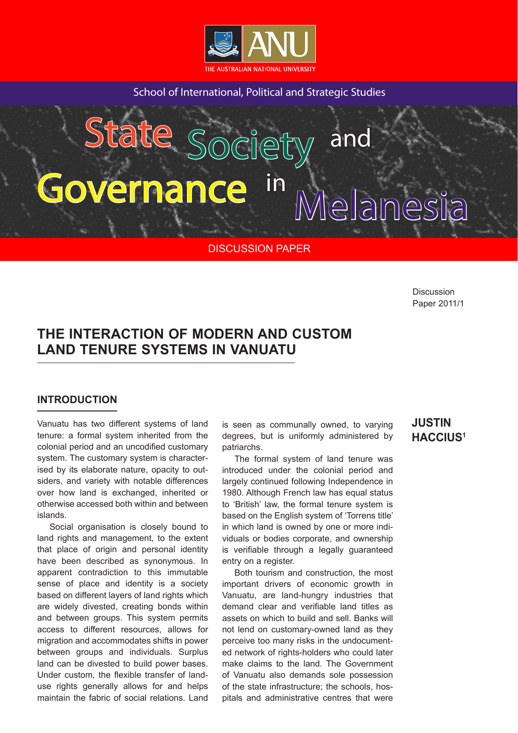

School of International, Political and Strategic Studies

# $S_A$ , Society and Governance in  $S_A$ State Society and overnance in <sub>Melanes</sub>

DISCUSSION PAPER

**Discussion** Paper 2011/1

## **THE INTERACTION OF MODERN AND CUSTOM LAND TENURE SYSTEMS IN VANUATU**

## **INTRODUCTION**

Vanuatu has two different systems of land tenure: a formal system inherited from the colonial period and an uncodified customary system. The customary system is characterised by its elaborate nature, opacity to outsiders, and variety with notable differences over how land is exchanged, inherited or otherwise accessed both within and between islands.

Social organisation is closely bound to land rights and management, to the extent that place of origin and personal identity have been described as synonymous. In apparent contradiction to this immutable sense of place and identity is a society based on different layers of land rights which are widely divested, creating bonds within and between groups. This system permits access to different resources, allows for migration and accommodates shifts in power between groups and individuals. Surplus land can be divested to build power bases. Under custom, the flexible transfer of landuse rights generally allows for and helps maintain the fabric of social relations. Land

is seen as communally owned, to varying degrees, but is uniformly administered by patriarchs.

The formal system of land tenure was introduced under the colonial period and largely continued following Independence in 1980. Although French law has equal status to 'British' law, the formal tenure system is based on the English system of 'Torrens title' in which land is owned by one or more individuals or bodies corporate, and ownership is verifiable through a legally guaranteed entry on a register.

Both tourism and construction, the most important drivers of economic growth in Vanuatu, are land-hungry industries that demand clear and verifiable land titles as assets on which to build and sell. Banks will not lend on customary-owned land as they perceive too many risks in the undocumented network of rights-holders who could later make claims to the land. The Government of Vanuatu also demands sole possession of the state infrastructure; the schools, hospitals and administrative centres that were

## **JUSTIN HACCIUS1**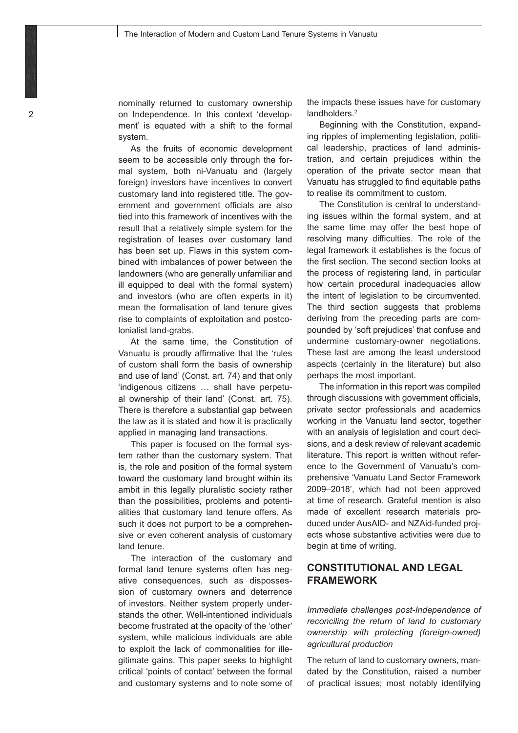nominally returned to customary ownership on Independence. In this context 'development' is equated with a shift to the formal system.

As the fruits of economic development seem to be accessible only through the formal system, both ni-Vanuatu and (largely foreign) investors have incentives to convert customary land into registered title. The government and government officials are also tied into this framework of incentives with the result that a relatively simple system for the registration of leases over customary land has been set up. Flaws in this system combined with imbalances of power between the landowners (who are generally unfamiliar and ill equipped to deal with the formal system) and investors (who are often experts in it) mean the formalisation of land tenure gives rise to complaints of exploitation and postcolonialist land-grabs.

At the same time, the Constitution of Vanuatu is proudly affirmative that the 'rules of custom shall form the basis of ownership and use of land' (Const. art. 74) and that only 'indigenous citizens … shall have perpetual ownership of their land' (Const. art. 75). There is therefore a substantial gap between the law as it is stated and how it is practically applied in managing land transactions.

This paper is focused on the formal system rather than the customary system. That is, the role and position of the formal system toward the customary land brought within its ambit in this legally pluralistic society rather than the possibilities, problems and potentialities that customary land tenure offers. As such it does not purport to be a comprehensive or even coherent analysis of customary land tenure.

The interaction of the customary and formal land tenure systems often has negative consequences, such as dispossession of customary owners and deterrence of investors. Neither system properly understands the other. Well-intentioned individuals become frustrated at the opacity of the 'other' system, while malicious individuals are able to exploit the lack of commonalities for illegitimate gains. This paper seeks to highlight critical 'points of contact' between the formal and customary systems and to note some of

the impacts these issues have for customary landholders.<sup>2</sup>

Beginning with the Constitution, expanding ripples of implementing legislation, political leadership, practices of land administration, and certain prejudices within the operation of the private sector mean that Vanuatu has struggled to find equitable paths to realise its commitment to custom.

The Constitution is central to understanding issues within the formal system, and at the same time may offer the best hope of resolving many difficulties. The role of the legal framework it establishes is the focus of the first section. The second section looks at the process of registering land, in particular how certain procedural inadequacies allow the intent of legislation to be circumvented. The third section suggests that problems deriving from the preceding parts are compounded by 'soft prejudices' that confuse and undermine customary-owner negotiations. These last are among the least understood aspects (certainly in the literature) but also perhaps the most important.

The information in this report was compiled through discussions with government officials, private sector professionals and academics working in the Vanuatu land sector, together with an analysis of legislation and court decisions, and a desk review of relevant academic literature. This report is written without reference to the Government of Vanuatu's comprehensive 'Vanuatu Land Sector Framework 2009–2018', which had not been approved at time of research. Grateful mention is also made of excellent research materials produced under AusAID- and NZAid-funded projects whose substantive activities were due to begin at time of writing.

## **CONSTITUTIONAL AND LEGAL FRAMEWORK**

*Immediate challenges post-Independence of reconciling the return of land to customary ownership with protecting (foreign-owned) agricultural production*

The return of land to customary owners, mandated by the Constitution, raised a number of practical issues; most notably identifying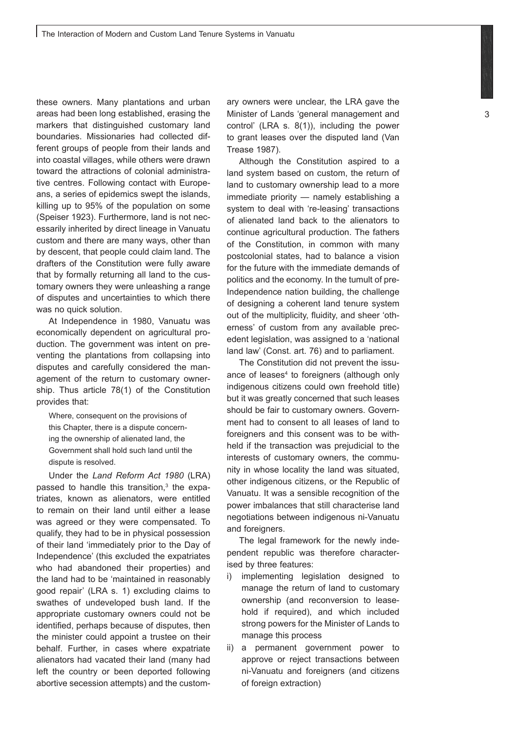these owners. Many plantations and urban areas had been long established, erasing the markers that distinguished customary land boundaries. Missionaries had collected different groups of people from their lands and into coastal villages, while others were drawn toward the attractions of colonial administrative centres. Following contact with Europeans, a series of epidemics swept the islands, killing up to 95% of the population on some (Speiser 1923). Furthermore, land is not necessarily inherited by direct lineage in Vanuatu custom and there are many ways, other than by descent, that people could claim land. The drafters of the Constitution were fully aware that by formally returning all land to the customary owners they were unleashing a range of disputes and uncertainties to which there was no quick solution.

At Independence in 1980, Vanuatu was economically dependent on agricultural production. The government was intent on preventing the plantations from collapsing into disputes and carefully considered the management of the return to customary ownership. Thus article 78(1) of the Constitution provides that:

Where, consequent on the provisions of this Chapter, there is a dispute concerning the ownership of alienated land, the Government shall hold such land until the dispute is resolved.

Under the *Land Reform Act 1980* (LRA) passed to handle this transition, $3$  the expatriates, known as alienators, were entitled to remain on their land until either a lease was agreed or they were compensated. To qualify, they had to be in physical possession of their land 'immediately prior to the Day of Independence' (this excluded the expatriates who had abandoned their properties) and the land had to be 'maintained in reasonably good repair' (LRA s. 1) excluding claims to swathes of undeveloped bush land. If the appropriate customary owners could not be identified, perhaps because of disputes, then the minister could appoint a trustee on their behalf. Further, in cases where expatriate alienators had vacated their land (many had left the country or been deported following abortive secession attempts) and the customary owners were unclear, the LRA gave the Minister of Lands 'general management and control' (LRA s. 8(1)), including the power to grant leases over the disputed land (Van Trease 1987).

Although the Constitution aspired to a land system based on custom, the return of land to customary ownership lead to a more immediate priority — namely establishing a system to deal with 're-leasing' transactions of alienated land back to the alienators to continue agricultural production. The fathers of the Constitution, in common with many postcolonial states, had to balance a vision for the future with the immediate demands of politics and the economy. In the tumult of pre-Independence nation building, the challenge of designing a coherent land tenure system out of the multiplicity, fluidity, and sheer 'otherness' of custom from any available precedent legislation, was assigned to a 'national land law' (Const. art. 76) and to parliament.

The Constitution did not prevent the issuance of leases<sup>4</sup> to foreigners (although only indigenous citizens could own freehold title) but it was greatly concerned that such leases should be fair to customary owners. Government had to consent to all leases of land to foreigners and this consent was to be withheld if the transaction was prejudicial to the interests of customary owners, the community in whose locality the land was situated, other indigenous citizens, or the Republic of Vanuatu. It was a sensible recognition of the power imbalances that still characterise land negotiations between indigenous ni-Vanuatu and foreigners.

The legal framework for the newly independent republic was therefore characterised by three features:

- i) implementing legislation designed to manage the return of land to customary ownership (and reconversion to leasehold if required), and which included strong powers for the Minister of Lands to manage this process
- ii) a permanent government power to approve or reject transactions between ni-Vanuatu and foreigners (and citizens of foreign extraction)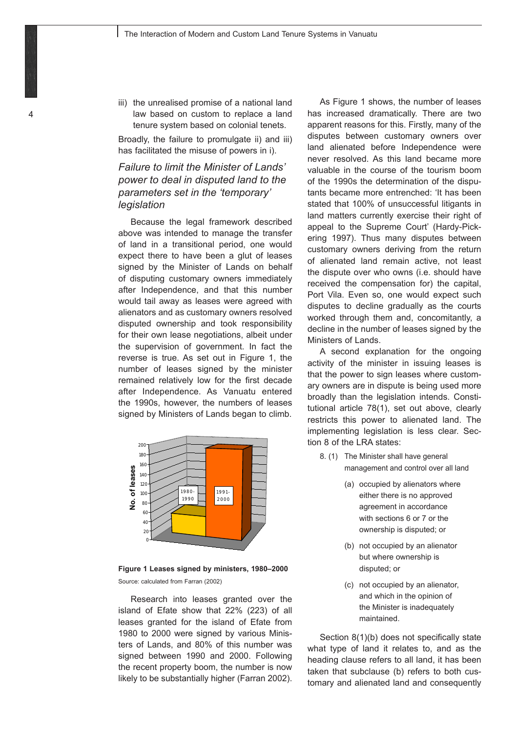iii) the unrealised promise of a national land law based on custom to replace a land tenure system based on colonial tenets.

Broadly, the failure to promulgate ii) and iii) has facilitated the misuse of powers in i).

## *Failure to limit the Minister of Lands' power to deal in disputed land to the parameters set in the 'temporary' legislation*

Because the legal framework described above was intended to manage the transfer of land in a transitional period, one would expect there to have been a glut of leases signed by the Minister of Lands on behalf of disputing customary owners immediately after Independence, and that this number would tail away as leases were agreed with alienators and as customary owners resolved disputed ownership and took responsibility for their own lease negotiations, albeit under the supervision of government. In fact the reverse is true. As set out in Figure 1, the number of leases signed by the minister remained relatively low for the first decade after Independence. As Vanuatu entered the 1990s, however, the numbers of leases signed by Ministers of Lands began to climb.



Figure 1 Leases signed by ministers, 1980-2000 Source: calculated from Farran (2002)

Research into leases granted over the island of Efate show that 22% (223) of all leases granted for the island of Efate from 1980 to 2000 were signed by various Ministers of Lands, and 80% of this number was signed between 1990 and 2000. Following the recent property boom, the number is now likely to be substantially higher (Farran 2002).

As Figure 1 shows, the number of leases has increased dramatically. There are two apparent reasons for this. Firstly, many of the disputes between customary owners over land alienated before Independence were never resolved. As this land became more valuable in the course of the tourism boom of the 1990s the determination of the disputants became more entrenched: 'It has been stated that 100% of unsuccessful litigants in land matters currently exercise their right of appeal to the Supreme Court' (Hardy-Pickering 1997). Thus many disputes between customary owners deriving from the return of alienated land remain active, not least the dispute over who owns (i.e. should have received the compensation for) the capital, Port Vila. Even so, one would expect such disputes to decline gradually as the courts worked through them and, concomitantly, a decline in the number of leases signed by the Ministers of Lands.

A second explanation for the ongoing activity of the minister in issuing leases is that the power to sign leases where customary owners are in dispute is being used more broadly than the legislation intends. Constitutional article 78(1), set out above, clearly restricts this power to alienated land. The implementing legislation is less clear. Section 8 of the LRA states:

- 8. (1) The Minister shall have general management and control over all land
	- (a) occupied by alienators where either there is no approved agreement in accordance with sections 6 or 7 or the ownership is disputed; or
	- (b) not occupied by an alienator but where ownership is disputed; or
	- (c) not occupied by an alienator, and which in the opinion of the Minister is inadequately maintained.

Section 8(1)(b) does not specifically state what type of land it relates to, and as the heading clause refers to all land, it has been taken that subclause (b) refers to both customary and alienated land and consequently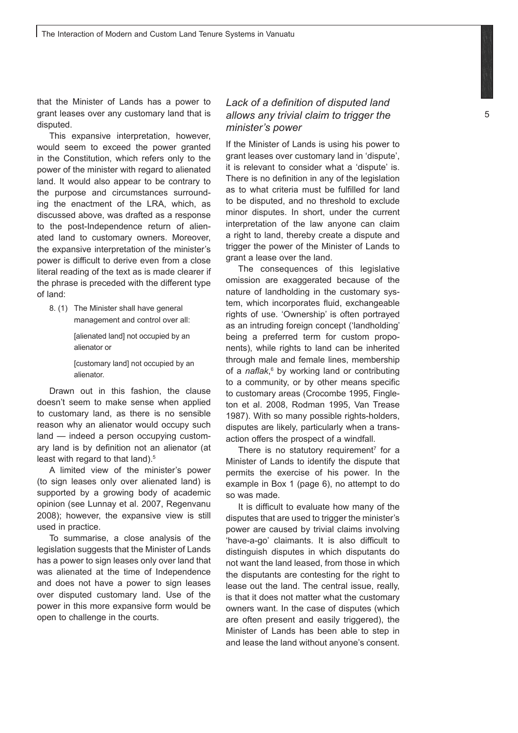that the Minister of Lands has a power to grant leases over any customary land that is disputed.

This expansive interpretation, however, would seem to exceed the power granted in the Constitution, which refers only to the power of the minister with regard to alienated land. It would also appear to be contrary to the purpose and circumstances surrounding the enactment of the LRA, which, as discussed above, was drafted as a response to the post-Independence return of alienated land to customary owners. Moreover, the expansive interpretation of the minister's power is difficult to derive even from a close literal reading of the text as is made clearer if the phrase is preceded with the different type of land:

8. (1) The Minister shall have general management and control over all:

> [alienated land] not occupied by an alienator or

[customary land] not occupied by an alienator.

Drawn out in this fashion, the clause doesn't seem to make sense when applied to customary land, as there is no sensible reason why an alienator would occupy such land — indeed a person occupying customary land is by definition not an alienator (at least with regard to that land).<sup>5</sup>

A limited view of the minister's power (to sign leases only over alienated land) is supported by a growing body of academic opinion (see Lunnay et al. 2007, Regenvanu 2008); however, the expansive view is still used in practice.

To summarise, a close analysis of the legislation suggests that the Minister of Lands has a power to sign leases only over land that was alienated at the time of Independence and does not have a power to sign leases over disputed customary land. Use of the power in this more expansive form would be open to challenge in the courts.

## *Lack of a definition of disputed land allows any trivial claim to trigger the minister's power*

If the Minister of Lands is using his power to grant leases over customary land in 'dispute', it is relevant to consider what a 'dispute' is. There is no definition in any of the legislation as to what criteria must be fulfilled for land to be disputed, and no threshold to exclude minor disputes. In short, under the current interpretation of the law anyone can claim a right to land, thereby create a dispute and trigger the power of the Minister of Lands to grant a lease over the land.

The consequences of this legislative omission are exaggerated because of the nature of landholding in the customary system, which incorporates fluid, exchangeable rights of use. 'Ownership' is often portrayed as an intruding foreign concept ('landholding' being a preferred term for custom proponents), while rights to land can be inherited through male and female lines, membership of a *naflak*, 6 by working land or contributing to a community, or by other means specific to customary areas (Crocombe 1995, Fingleton et al. 2008, Rodman 1995, Van Trease 1987). With so many possible rights-holders, disputes are likely, particularly when a transaction offers the prospect of a windfall.

There is no statutory requirement<sup>7</sup> for a Minister of Lands to identify the dispute that permits the exercise of his power. In the example in Box 1 (page 6), no attempt to do so was made.

It is difficult to evaluate how many of the disputes that are used to trigger the minister's power are caused by trivial claims involving 'have-a-go' claimants. It is also difficult to distinguish disputes in which disputants do not want the land leased, from those in which the disputants are contesting for the right to lease out the land. The central issue, really, is that it does not matter what the customary owners want. In the case of disputes (which are often present and easily triggered), the Minister of Lands has been able to step in and lease the land without anyone's consent.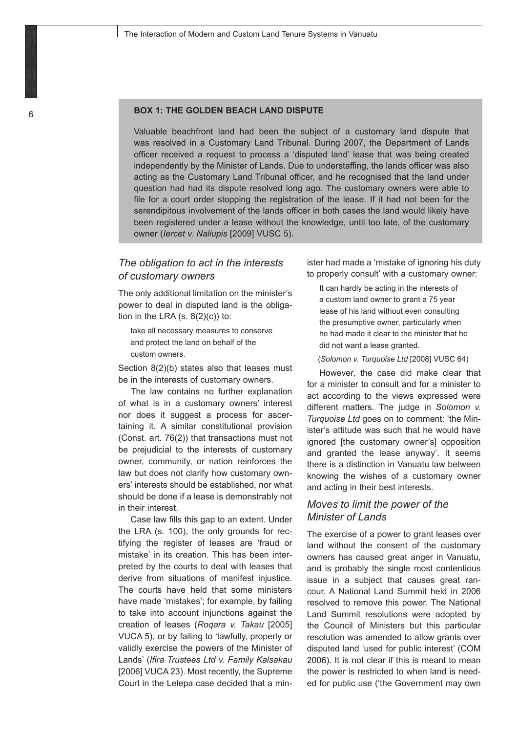#### **BOX 1: THE GOLDEN BEACH LAND DISPUTE**

Valuable beachfront land had been the subject of a customary land dispute that was resolved in a Customary Land Tribunal. During 2007, the Department of Lands officer received a request to process a 'disputed land' lease that was being created independently by the Minister of Lands. Due to understaffing, the lands officer was also acting as the Customary Land Tribunal officer, and he recognised that the land under question had had its dispute resolved long ago. The customary owners were able to file for a court order stopping the registration of the lease. If it had not been for the serendipitous involvement of the lands officer in both cases the land would likely have been registered under a lease without the knowledge, until too late, of the customary owner (*Iercet v. Naliupis* [2009] VUSC 5).

#### *The obligation to act in the interests of customary owners*

The only additional limitation on the minister's power to deal in disputed land is the obligation in the LRA  $(s. 8(2)(c))$  to:

take all necessary measures to conserve and protect the land on behalf of the custom owners.

Section 8(2)(b) states also that leases must be in the interests of customary owners.

The law contains no further explanation of what is in a customary owners' interest nor does it suggest a process for ascertaining it. A similar constitutional provision (Const. art. 76(2)) that transactions must not be prejudicial to the interests of customary owner, community, or nation reinforces the law but does not clarify how customary owners' interests should be established, nor what should be done if a lease is demonstrably not in their interest.

Case law fills this gap to an extent. Under the LRA (s. 100), the only grounds for rectifying the register of leases are 'fraud or mistake' in its creation. This has been interpreted by the courts to deal with leases that derive from situations of manifest injustice. The courts have held that some ministers have made 'mistakes'; for example, by failing to take into account injunctions against the creation of leases (*Roqara v. Takau* [2005] VUCA 5), or by failing to 'lawfully, properly or validly exercise the powers of the Minister of Lands' (*Ifira Trustees Ltd v. Family Kalsakau* [2006] VUCA 23). Most recently, the Supreme Court in the Lelepa case decided that a minister had made a 'mistake of ignoring his duty to properly consult' with a customary owner:

It can hardly be acting in the interests of a custom land owner to grant a 75 year lease of his land without even consulting the presumptive owner, particularly when he had made it clear to the minister that he did not want a lease granted.

(*Solomon v. Turquoise Ltd* [2008] VUSC 64)

However, the case did make clear that for a minister to consult and for a minister to act according to the views expressed were different matters. The judge in *Solomon v. Turquoise Ltd* goes on to comment: 'the Minister's attitude was such that he would have ignored [the customary owner's] opposition and granted the lease anyway'. It seems there is a distinction in Vanuatu law between knowing the wishes of a customary owner and acting in their best interests.

## *Moves to limit the power of the Minister of Lands*

The exercise of a power to grant leases over land without the consent of the customary owners has caused great anger in Vanuatu, and is probably the single most contentious issue in a subject that causes great rancour. A National Land Summit held in 2006 resolved to remove this power. The National Land Summit resolutions were adopted by the Council of Ministers but this particular resolution was amended to allow grants over disputed land 'used for public interest' (COM 2006). It is not clear if this is meant to mean the power is restricted to when land is needed for public use ('the Government may own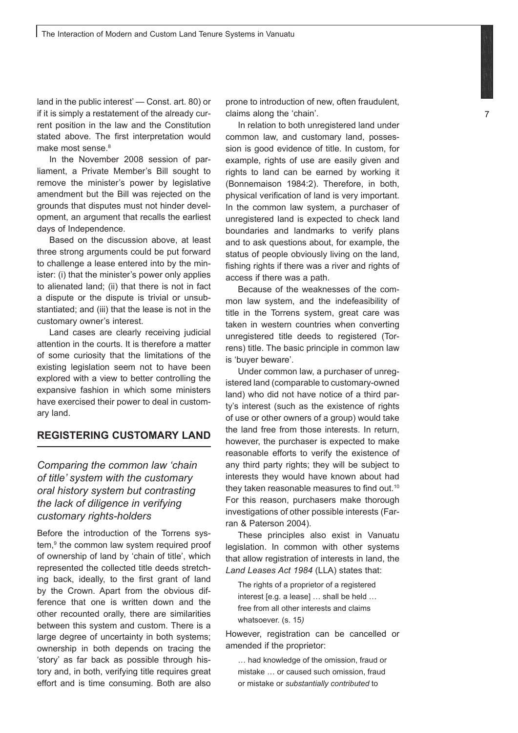land in the public interest' — Const. art. 80) or if it is simply a restatement of the already current position in the law and the Constitution stated above. The first interpretation would make most sense.<sup>8</sup>

In the November 2008 session of parliament, a Private Member's Bill sought to remove the minister's power by legislative amendment but the Bill was rejected on the grounds that disputes must not hinder development, an argument that recalls the earliest days of Independence.

Based on the discussion above, at least three strong arguments could be put forward to challenge a lease entered into by the minister: (i) that the minister's power only applies to alienated land; (ii) that there is not in fact a dispute or the dispute is trivial or unsubstantiated; and (iii) that the lease is not in the customary owner's interest.

Land cases are clearly receiving judicial attention in the courts. It is therefore a matter of some curiosity that the limitations of the existing legislation seem not to have been explored with a view to better controlling the expansive fashion in which some ministers have exercised their power to deal in customary land.

## **REGISTERING CUSTOMARY LAND**

*Comparing the common law 'chain of title' system with the customary oral history system but contrasting the lack of diligence in verifying customary rights-holders*

Before the introduction of the Torrens system,<sup>9</sup> the common law system required proof of ownership of land by 'chain of title', which represented the collected title deeds stretching back, ideally, to the first grant of land by the Crown. Apart from the obvious difference that one is written down and the other recounted orally, there are similarities between this system and custom. There is a large degree of uncertainty in both systems; ownership in both depends on tracing the 'story' as far back as possible through history and, in both, verifying title requires great effort and is time consuming. Both are also

prone to introduction of new, often fraudulent, claims along the 'chain'.

In relation to both unregistered land under common law, and customary land, possession is good evidence of title. In custom, for example, rights of use are easily given and rights to land can be earned by working it (Bonnemaison 1984:2). Therefore, in both, physical verification of land is very important. In the common law system, a purchaser of unregistered land is expected to check land boundaries and landmarks to verify plans and to ask questions about, for example, the status of people obviously living on the land, fishing rights if there was a river and rights of access if there was a path.

Because of the weaknesses of the common law system, and the indefeasibility of title in the Torrens system, great care was taken in western countries when converting unregistered title deeds to registered (Torrens) title. The basic principle in common law is 'buyer beware'.

Under common law, a purchaser of unregistered land (comparable to customary-owned land) who did not have notice of a third party's interest (such as the existence of rights of use or other owners of a group) would take the land free from those interests. In return, however, the purchaser is expected to make reasonable efforts to verify the existence of any third party rights; they will be subject to interests they would have known about had they taken reasonable measures to find out.10 For this reason, purchasers make thorough investigations of other possible interests (Farran & Paterson 2004).

These principles also exist in Vanuatu legislation. In common with other systems that allow registration of interests in land, the *Land Leases Act 1984* (LLA) states that:

The rights of a proprietor of a registered interest [e.g. a lease] … shall be held … free from all other interests and claims whatsoever. (s. 15*)*

However, registration can be cancelled or amended if the proprietor:

… had knowledge of the omission, fraud or mistake … or caused such omission, fraud or mistake or *substantially contributed* to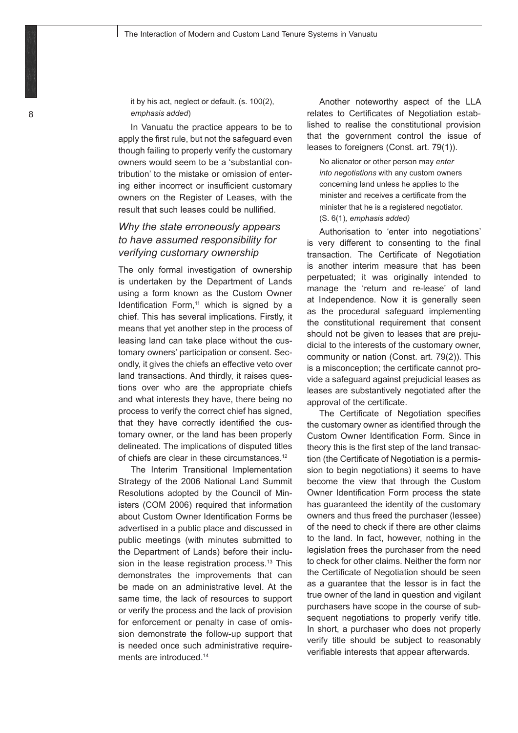it by his act, neglect or default. (s. 100(2), *emphasis added*)

In Vanuatu the practice appears to be to apply the first rule, but not the safeguard even though failing to properly verify the customary owners would seem to be a 'substantial contribution' to the mistake or omission of entering either incorrect or insufficient customary owners on the Register of Leases, with the result that such leases could be nullified.

## *Why the state erroneously appears to have assumed responsibility for verifying customary ownership*

The only formal investigation of ownership is undertaken by the Department of Lands using a form known as the Custom Owner Identification Form, $11$  which is signed by a chief. This has several implications. Firstly, it means that yet another step in the process of leasing land can take place without the customary owners' participation or consent. Secondly, it gives the chiefs an effective veto over land transactions. And thirdly, it raises questions over who are the appropriate chiefs and what interests they have, there being no process to verify the correct chief has signed, that they have correctly identified the customary owner, or the land has been properly delineated. The implications of disputed titles of chiefs are clear in these circumstances.<sup>12</sup>

The Interim Transitional Implementation Strategy of the 2006 National Land Summit Resolutions adopted by the Council of Ministers (COM 2006) required that information about Custom Owner Identification Forms be advertised in a public place and discussed in public meetings (with minutes submitted to the Department of Lands) before their inclusion in the lease registration process.<sup>13</sup> This demonstrates the improvements that can be made on an administrative level. At the same time, the lack of resources to support or verify the process and the lack of provision for enforcement or penalty in case of omission demonstrate the follow-up support that is needed once such administrative requirements are introduced.<sup>14</sup>

Another noteworthy aspect of the LLA relates to Certificates of Negotiation established to realise the constitutional provision that the government control the issue of leases to foreigners (Const. art. 79(1)).

No alienator or other person may *enter into negotiations* with any custom owners concerning land unless he applies to the minister and receives a certificate from the minister that he is a registered negotiator. (S. 6(1)*, emphasis added)*

Authorisation to 'enter into negotiations' is very different to consenting to the final transaction. The Certificate of Negotiation is another interim measure that has been perpetuated; it was originally intended to manage the 'return and re-lease' of land at Independence. Now it is generally seen as the procedural safeguard implementing the constitutional requirement that consent should not be given to leases that are prejudicial to the interests of the customary owner, community or nation (Const. art. 79(2)). This is a misconception; the certificate cannot provide a safeguard against prejudicial leases as leases are substantively negotiated after the approval of the certificate.

The Certificate of Negotiation specifies the customary owner as identified through the Custom Owner Identification Form. Since in theory this is the first step of the land transaction (the Certificate of Negotiation is a permission to begin negotiations) it seems to have become the view that through the Custom Owner Identification Form process the state has guaranteed the identity of the customary owners and thus freed the purchaser (lessee) of the need to check if there are other claims to the land. In fact, however, nothing in the legislation frees the purchaser from the need to check for other claims. Neither the form nor the Certificate of Negotiation should be seen as a guarantee that the lessor is in fact the true owner of the land in question and vigilant purchasers have scope in the course of subsequent negotiations to properly verify title. In short, a purchaser who does not properly verify title should be subject to reasonably verifiable interests that appear afterwards.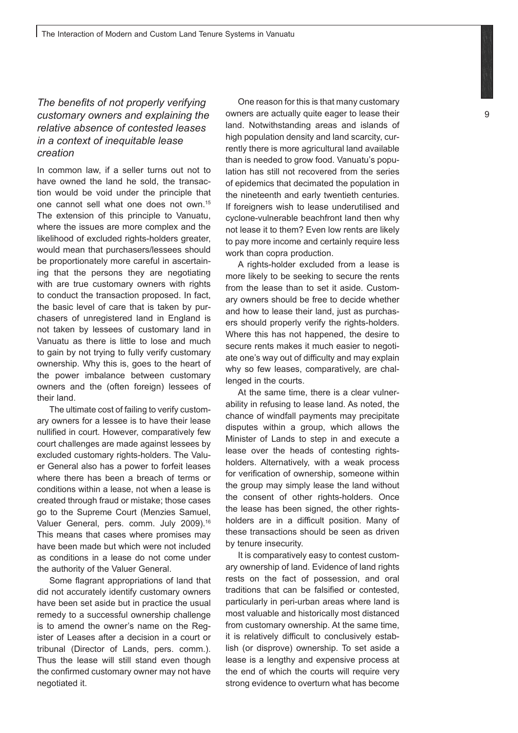## *The benefits of not properly verifying customary owners and explaining the relative absence of contested leases in a context of inequitable lease creation*

In common law, if a seller turns out not to have owned the land he sold, the transaction would be void under the principle that one cannot sell what one does not own.15 The extension of this principle to Vanuatu, where the issues are more complex and the likelihood of excluded rights-holders greater, would mean that purchasers/lessees should be proportionately more careful in ascertaining that the persons they are negotiating with are true customary owners with rights to conduct the transaction proposed. In fact, the basic level of care that is taken by purchasers of unregistered land in England is not taken by lessees of customary land in Vanuatu as there is little to lose and much to gain by not trying to fully verify customary ownership. Why this is, goes to the heart of the power imbalance between customary owners and the (often foreign) lessees of their land.

The ultimate cost of failing to verify customary owners for a lessee is to have their lease nullified in court. However, comparatively few court challenges are made against lessees by excluded customary rights-holders. The Valuer General also has a power to forfeit leases where there has been a breach of terms or conditions within a lease, not when a lease is created through fraud or mistake; those cases go to the Supreme Court (Menzies Samuel, Valuer General, pers. comm. July 2009).<sup>16</sup> This means that cases where promises may have been made but which were not included as conditions in a lease do not come under the authority of the Valuer General.

Some flagrant appropriations of land that did not accurately identify customary owners have been set aside but in practice the usual remedy to a successful ownership challenge is to amend the owner's name on the Register of Leases after a decision in a court or tribunal (Director of Lands, pers. comm.). Thus the lease will still stand even though the confirmed customary owner may not have negotiated it.

One reason for this is that many customary owners are actually quite eager to lease their land. Notwithstanding areas and islands of high population density and land scarcity, currently there is more agricultural land available than is needed to grow food. Vanuatu's population has still not recovered from the series of epidemics that decimated the population in the nineteenth and early twentieth centuries. If foreigners wish to lease underutilised and cyclone-vulnerable beachfront land then why not lease it to them? Even low rents are likely to pay more income and certainly require less work than copra production.

A rights-holder excluded from a lease is more likely to be seeking to secure the rents from the lease than to set it aside. Customary owners should be free to decide whether and how to lease their land, just as purchasers should properly verify the rights-holders. Where this has not happened, the desire to secure rents makes it much easier to negotiate one's way out of difficulty and may explain why so few leases, comparatively, are challenged in the courts.

At the same time, there is a clear vulnerability in refusing to lease land. As noted, the chance of windfall payments may precipitate disputes within a group, which allows the Minister of Lands to step in and execute a lease over the heads of contesting rightsholders. Alternatively, with a weak process for verification of ownership, someone within the group may simply lease the land without the consent of other rights-holders. Once the lease has been signed, the other rightsholders are in a difficult position. Many of these transactions should be seen as driven by tenure insecurity.

It is comparatively easy to contest customary ownership of land. Evidence of land rights rests on the fact of possession, and oral traditions that can be falsified or contested, particularly in peri-urban areas where land is most valuable and historically most distanced from customary ownership. At the same time, it is relatively difficult to conclusively establish (or disprove) ownership. To set aside a lease is a lengthy and expensive process at the end of which the courts will require very strong evidence to overturn what has become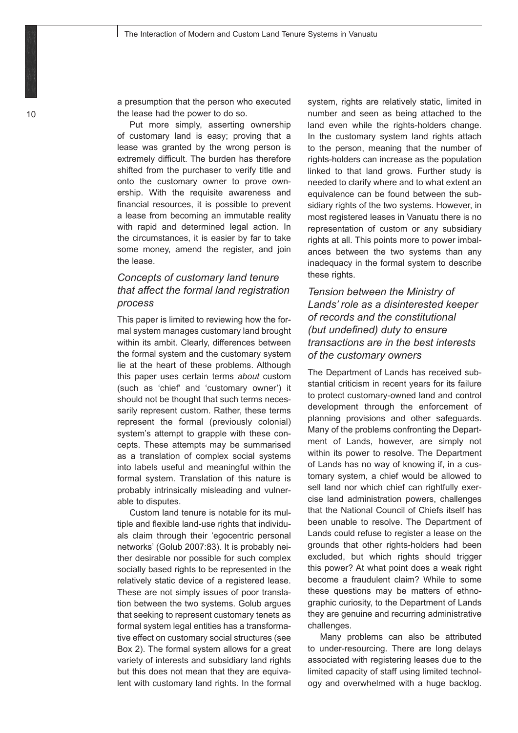a presumption that the person who executed the lease had the power to do so.

Put more simply, asserting ownership of customary land is easy; proving that a lease was granted by the wrong person is extremely difficult. The burden has therefore shifted from the purchaser to verify title and onto the customary owner to prove ownership. With the requisite awareness and financial resources, it is possible to prevent a lease from becoming an immutable reality with rapid and determined legal action. In the circumstances, it is easier by far to take some money, amend the register, and join the lease.

## *Concepts of customary land tenure that affect the formal land registration process*

This paper is limited to reviewing how the formal system manages customary land brought within its ambit. Clearly, differences between the formal system and the customary system lie at the heart of these problems. Although this paper uses certain terms *about* custom (such as 'chief' and 'customary owner') it should not be thought that such terms necessarily represent custom. Rather, these terms represent the formal (previously colonial) system's attempt to grapple with these concepts. These attempts may be summarised as a translation of complex social systems into labels useful and meaningful within the formal system. Translation of this nature is probably intrinsically misleading and vulnerable to disputes.

Custom land tenure is notable for its multiple and flexible land-use rights that individuals claim through their 'egocentric personal networks' (Golub 2007:83). It is probably neither desirable nor possible for such complex socially based rights to be represented in the relatively static device of a registered lease. These are not simply issues of poor translation between the two systems. Golub argues that seeking to represent customary tenets as formal system legal entities has a transformative effect on customary social structures (see Box 2). The formal system allows for a great variety of interests and subsidiary land rights but this does not mean that they are equivalent with customary land rights. In the formal

system, rights are relatively static, limited in number and seen as being attached to the land even while the rights-holders change. In the customary system land rights attach to the person, meaning that the number of rights-holders can increase as the population linked to that land grows. Further study is needed to clarify where and to what extent an equivalence can be found between the subsidiary rights of the two systems. However, in most registered leases in Vanuatu there is no representation of custom or any subsidiary rights at all. This points more to power imbalances between the two systems than any inadequacy in the formal system to describe these rights.

## *Tension between the Ministry of Lands' role as a disinterested keeper of records and the constitutional (but undefined) duty to ensure transactions are in the best interests of the customary owners*

The Department of Lands has received substantial criticism in recent years for its failure to protect customary-owned land and control development through the enforcement of planning provisions and other safeguards. Many of the problems confronting the Department of Lands, however, are simply not within its power to resolve. The Department of Lands has no way of knowing if, in a customary system, a chief would be allowed to sell land nor which chief can rightfully exercise land administration powers, challenges that the National Council of Chiefs itself has been unable to resolve. The Department of Lands could refuse to register a lease on the grounds that other rights-holders had been excluded, but which rights should trigger this power? At what point does a weak right become a fraudulent claim? While to some these questions may be matters of ethnographic curiosity, to the Department of Lands they are genuine and recurring administrative challenges.

Many problems can also be attributed to under-resourcing. There are long delays associated with registering leases due to the limited capacity of staff using limited technology and overwhelmed with a huge backlog.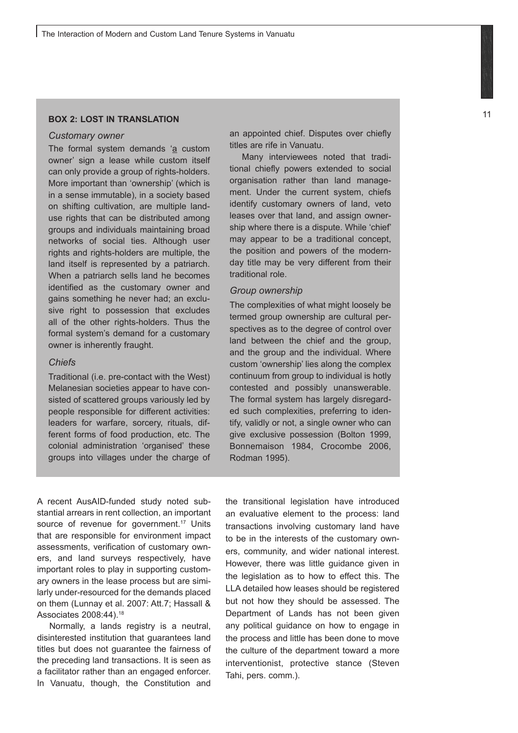#### **BOX 2: LOST IN TRANSLATION**

#### *Customary owner*

The formal system demands 'a custom owner' sign a lease while custom itself can only provide a group of rights-holders. More important than 'ownership' (which is in a sense immutable), in a society based on shifting cultivation, are multiple landuse rights that can be distributed among groups and individuals maintaining broad networks of social ties. Although user rights and rights-holders are multiple, the land itself is represented by a patriarch. When a patriarch sells land he becomes identified as the customary owner and gains something he never had; an exclusive right to possession that excludes all of the other rights-holders. Thus the formal system's demand for a customary owner is inherently fraught.

#### *Chiefs*

Traditional (i.e. pre-contact with the West) Melanesian societies appear to have consisted of scattered groups variously led by people responsible for different activities: leaders for warfare, sorcery, rituals, different forms of food production, etc. The colonial administration 'organised' these groups into villages under the charge of an appointed chief. Disputes over chiefly titles are rife in Vanuatu.

Many interviewees noted that traditional chiefly powers extended to social organisation rather than land management. Under the current system, chiefs identify customary owners of land, veto leases over that land, and assign ownership where there is a dispute. While 'chief' may appear to be a traditional concept, the position and powers of the modernday title may be very different from their traditional role.

#### *Group ownership*

The complexities of what might loosely be termed group ownership are cultural perspectives as to the degree of control over land between the chief and the group, and the group and the individual. Where custom 'ownership' lies along the complex continuum from group to individual is hotly contested and possibly unanswerable. The formal system has largely disregarded such complexities, preferring to identify, validly or not, a single owner who can give exclusive possession (Bolton 1999, Bonnemaison 1984, Crocombe 2006, Rodman 1995).

A recent AusAID-funded study noted substantial arrears in rent collection, an important source of revenue for government.<sup>17</sup> Units that are responsible for environment impact assessments, verification of customary owners, and land surveys respectively, have important roles to play in supporting customary owners in the lease process but are similarly under-resourced for the demands placed on them (Lunnay et al. 2007: Att.7; Hassall & Associates 2008:44).18

Normally, a lands registry is a neutral, disinterested institution that guarantees land titles but does not guarantee the fairness of the preceding land transactions. It is seen as a facilitator rather than an engaged enforcer. In Vanuatu, though, the Constitution and the transitional legislation have introduced an evaluative element to the process: land transactions involving customary land have to be in the interests of the customary owners, community, and wider national interest. However, there was little guidance given in the legislation as to how to effect this. The LLA detailed how leases should be registered but not how they should be assessed. The Department of Lands has not been given any political guidance on how to engage in the process and little has been done to move the culture of the department toward a more interventionist, protective stance (Steven Tahi, pers. comm.).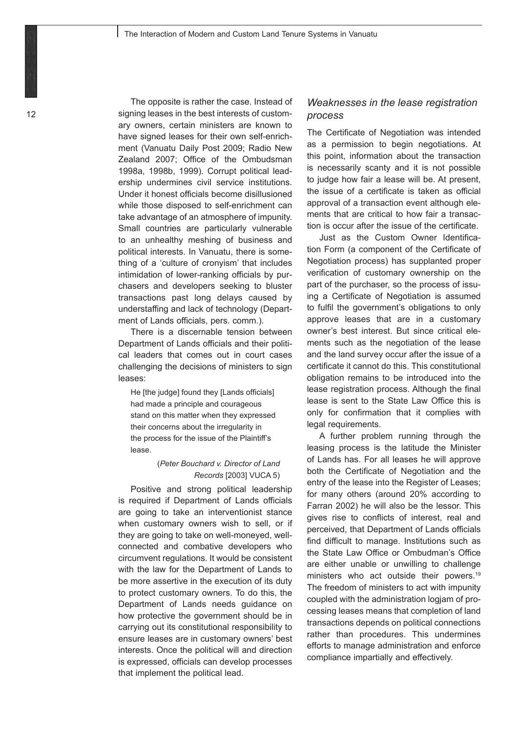The opposite is rather the case. Instead of signing leases in the best interests of customary owners, certain ministers are known to have signed leases for their own self-enrichment (Vanuatu Daily Post 2009; Radio New Zealand 2007; Office of the Ombudsman 1998a, 1998b, 1999). Corrupt political leadership undermines civil service institutions. Under it honest officials become disillusioned while those disposed to self-enrichment can take advantage of an atmosphere of impunity. Small countries are particularly vulnerable to an unhealthy meshing of business and political interests. In Vanuatu, there is something of a 'culture of cronyism' that includes intimidation of lower-ranking officials by purchasers and developers seeking to bluster transactions past long delays caused by understaffing and lack of technology (Department of Lands officials, pers. comm.).

There is a discernable tension between Department of Lands officials and their political leaders that comes out in court cases challenging the decisions of ministers to sign leases:

He [the judge] found they [Lands officials] had made a principle and courageous stand on this matter when they expressed their concerns about the irregularity in the process for the issue of the Plaintiff's lease.

#### (*Peter Bouchard v. Director of Land Records* [2003] VUCA 5)

Positive and strong political leadership is required if Department of Lands officials are going to take an interventionist stance when customary owners wish to sell, or if they are going to take on well-moneyed, wellconnected and combative developers who circumvent regulations. It would be consistent with the law for the Department of Lands to be more assertive in the execution of its duty to protect customary owners. To do this, the Department of Lands needs guidance on how protective the government should be in carrying out its constitutional responsibility to ensure leases are in customary owners' best interests. Once the political will and direction is expressed, officials can develop processes that implement the political lead.

## *Weaknesses in the lease registration process*

The Certificate of Negotiation was intended as a permission to begin negotiations. At this point, information about the transaction is necessarily scanty and it is not possible to judge how fair a lease will be. At present, the issue of a certificate is taken as official approval of a transaction event although elements that are critical to how fair a transaction is occur after the issue of the certificate.

Just as the Custom Owner Identification Form (a component of the Certificate of Negotiation process) has supplanted proper verification of customary ownership on the part of the purchaser, so the process of issuing a Certificate of Negotiation is assumed to fulfil the government's obligations to only approve leases that are in a customary owner's best interest. But since critical elements such as the negotiation of the lease and the land survey occur after the issue of a certificate it cannot do this. This constitutional obligation remains to be introduced into the lease registration process. Although the final lease is sent to the State Law Office this is only for confirmation that it complies with legal requirements.

A further problem running through the leasing process is the latitude the Minister of Lands has. For all leases he will approve both the Certificate of Negotiation and the entry of the lease into the Register of Leases; for many others (around 20% according to Farran 2002) he will also be the lessor. This gives rise to conflicts of interest, real and perceived, that Department of Lands officials find difficult to manage. Institutions such as the State Law Office or Ombudman's Office are either unable or unwilling to challenge ministers who act outside their powers.<sup>19</sup> The freedom of ministers to act with impunity coupled with the administration logjam of processing leases means that completion of land transactions depends on political connections rather than procedures. This undermines efforts to manage administration and enforce compliance impartially and effectively.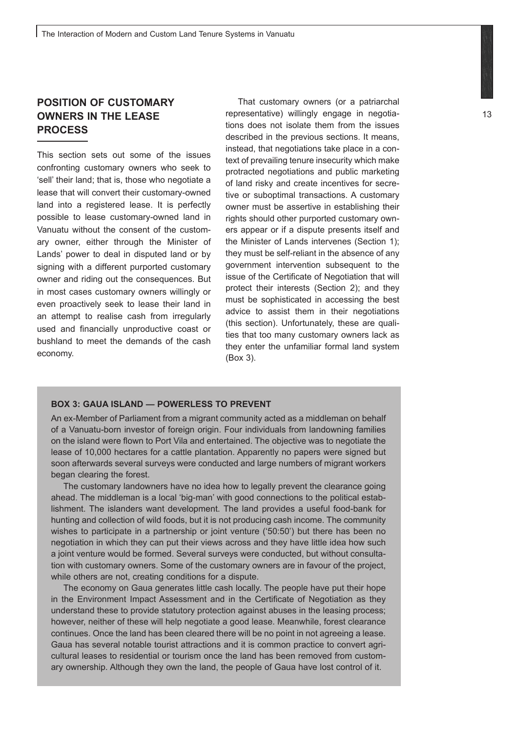## **POSITION OF CUSTOMARY OWNERS IN THE LEASE PROCESS**

This section sets out some of the issues confronting customary owners who seek to 'sell' their land; that is, those who negotiate a lease that will convert their customary-owned land into a registered lease. It is perfectly possible to lease customary-owned land in Vanuatu without the consent of the customary owner, either through the Minister of Lands' power to deal in disputed land or by signing with a different purported customary owner and riding out the consequences. But in most cases customary owners willingly or even proactively seek to lease their land in an attempt to realise cash from irregularly used and financially unproductive coast or bushland to meet the demands of the cash economy.

That customary owners (or a patriarchal representative) willingly engage in negotiations does not isolate them from the issues described in the previous sections. It means, instead, that negotiations take place in a context of prevailing tenure insecurity which make protracted negotiations and public marketing of land risky and create incentives for secretive or suboptimal transactions. A customary owner must be assertive in establishing their rights should other purported customary owners appear or if a dispute presents itself and the Minister of Lands intervenes (Section 1); they must be self-reliant in the absence of any government intervention subsequent to the issue of the Certificate of Negotiation that will protect their interests (Section 2); and they must be sophisticated in accessing the best advice to assist them in their negotiations (this section). Unfortunately, these are qualities that too many customary owners lack as they enter the unfamiliar formal land system (Box 3).

#### **BOX 3: GAUA ISLAND — POWERLESS TO PREVENT**

An ex-Member of Parliament from a migrant community acted as a middleman on behalf of a Vanuatu-born investor of foreign origin. Four individuals from landowning families on the island were flown to Port Vila and entertained. The objective was to negotiate the lease of 10,000 hectares for a cattle plantation. Apparently no papers were signed but soon afterwards several surveys were conducted and large numbers of migrant workers began clearing the forest.

The customary landowners have no idea how to legally prevent the clearance going ahead. The middleman is a local 'big-man' with good connections to the political establishment. The islanders want development. The land provides a useful food-bank for hunting and collection of wild foods, but it is not producing cash income. The community wishes to participate in a partnership or joint venture ('50:50') but there has been no negotiation in which they can put their views across and they have little idea how such a joint venture would be formed. Several surveys were conducted, but without consultation with customary owners. Some of the customary owners are in favour of the project, while others are not, creating conditions for a dispute.

The economy on Gaua generates little cash locally. The people have put their hope in the Environment Impact Assessment and in the Certificate of Negotiation as they understand these to provide statutory protection against abuses in the leasing process; however, neither of these will help negotiate a good lease. Meanwhile, forest clearance continues. Once the land has been cleared there will be no point in not agreeing a lease. Gaua has several notable tourist attractions and it is common practice to convert agricultural leases to residential or tourism once the land has been removed from customary ownership. Although they own the land, the people of Gaua have lost control of it.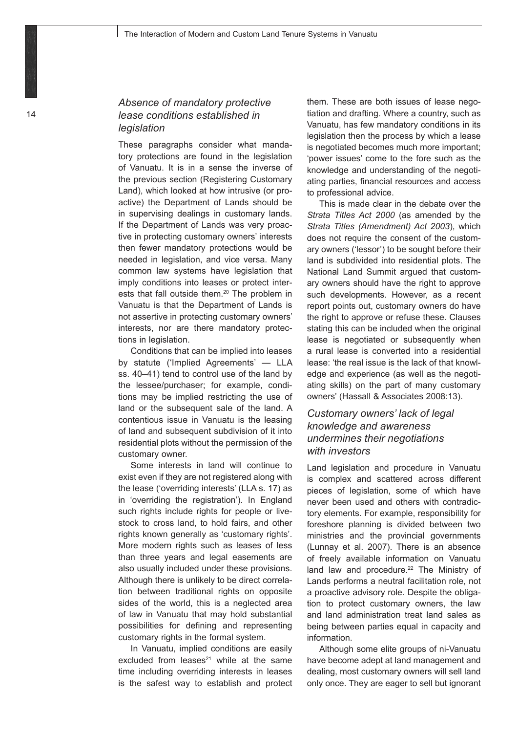## *Absence of mandatory protective lease conditions established in legislation*

These paragraphs consider what mandatory protections are found in the legislation of Vanuatu. It is in a sense the inverse of the previous section (Registering Customary Land), which looked at how intrusive (or proactive) the Department of Lands should be in supervising dealings in customary lands. If the Department of Lands was very proactive in protecting customary owners' interests then fewer mandatory protections would be needed in legislation, and vice versa. Many common law systems have legislation that imply conditions into leases or protect interests that fall outside them.<sup>20</sup> The problem in Vanuatu is that the Department of Lands is not assertive in protecting customary owners' interests, nor are there mandatory protections in legislation.

Conditions that can be implied into leases by statute ('Implied Agreements' — LLA ss. 40–41) tend to control use of the land by the lessee/purchaser; for example, conditions may be implied restricting the use of land or the subsequent sale of the land. A contentious issue in Vanuatu is the leasing of land and subsequent subdivision of it into residential plots without the permission of the customary owner.

Some interests in land will continue to exist even if they are not registered along with the lease ('overriding interests' (LLA s. 17) as in 'overriding the registration'). In England such rights include rights for people or livestock to cross land, to hold fairs, and other rights known generally as 'customary rights'. More modern rights such as leases of less than three years and legal easements are also usually included under these provisions. Although there is unlikely to be direct correlation between traditional rights on opposite sides of the world, this is a neglected area of law in Vanuatu that may hold substantial possibilities for defining and representing customary rights in the formal system.

In Vanuatu, implied conditions are easily excluded from leases $21$  while at the same time including overriding interests in leases is the safest way to establish and protect them. These are both issues of lease negotiation and drafting. Where a country, such as Vanuatu, has few mandatory conditions in its legislation then the process by which a lease is negotiated becomes much more important; 'power issues' come to the fore such as the knowledge and understanding of the negotiating parties, financial resources and access to professional advice.

This is made clear in the debate over the *Strata Titles Act 2000* (as amended by the *Strata Titles (Amendment) Act 2003*), which does not require the consent of the customary owners ('lessor') to be sought before their land is subdivided into residential plots. The National Land Summit argued that customary owners should have the right to approve such developments. However, as a recent report points out, customary owners do have the right to approve or refuse these. Clauses stating this can be included when the original lease is negotiated or subsequently when a rural lease is converted into a residential lease: 'the real issue is the lack of that knowledge and experience (as well as the negotiating skills) on the part of many customary owners' (Hassall & Associates 2008:13).

## *Customary owners' lack of legal knowledge and awareness undermines their negotiations with investors*

Land legislation and procedure in Vanuatu is complex and scattered across different pieces of legislation, some of which have never been used and others with contradictory elements. For example, responsibility for foreshore planning is divided between two ministries and the provincial governments (Lunnay et al. 2007). There is an absence of freely available information on Vanuatu land law and procedure.<sup>22</sup> The Ministry of Lands performs a neutral facilitation role, not a proactive advisory role. Despite the obligation to protect customary owners, the law and land administration treat land sales as being between parties equal in capacity and information.

Although some elite groups of ni-Vanuatu have become adept at land management and dealing, most customary owners will sell land only once. They are eager to sell but ignorant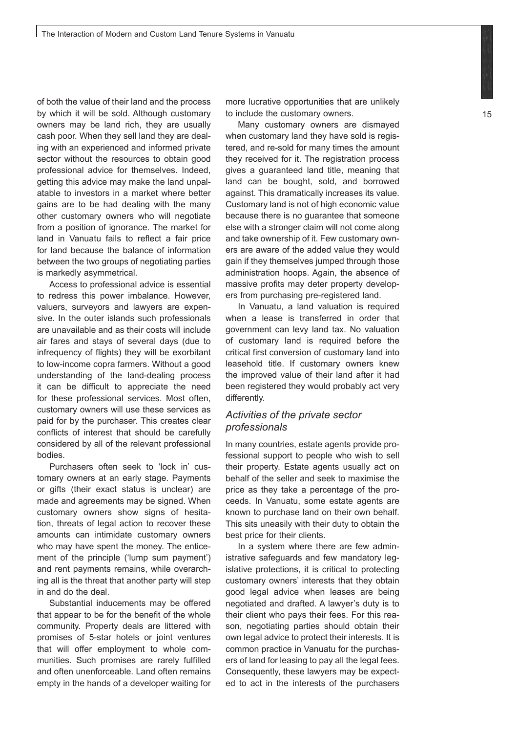of both the value of their land and the process by which it will be sold. Although customary owners may be land rich, they are usually cash poor. When they sell land they are dealing with an experienced and informed private sector without the resources to obtain good professional advice for themselves. Indeed, getting this advice may make the land unpalatable to investors in a market where better gains are to be had dealing with the many other customary owners who will negotiate from a position of ignorance. The market for land in Vanuatu fails to reflect a fair price for land because the balance of information between the two groups of negotiating parties is markedly asymmetrical.

Access to professional advice is essential to redress this power imbalance. However, valuers, surveyors and lawyers are expensive. In the outer islands such professionals are unavailable and as their costs will include air fares and stays of several days (due to infrequency of flights) they will be exorbitant to low-income copra farmers. Without a good understanding of the land-dealing process it can be difficult to appreciate the need for these professional services. Most often, customary owners will use these services as paid for by the purchaser. This creates clear conflicts of interest that should be carefully considered by all of the relevant professional bodies.

Purchasers often seek to 'lock in' customary owners at an early stage. Payments or gifts (their exact status is unclear) are made and agreements may be signed. When customary owners show signs of hesitation, threats of legal action to recover these amounts can intimidate customary owners who may have spent the money. The enticement of the principle ('lump sum payment') and rent payments remains, while overarching all is the threat that another party will step in and do the deal.

Substantial inducements may be offered that appear to be for the benefit of the whole community. Property deals are littered with promises of 5-star hotels or joint ventures that will offer employment to whole communities. Such promises are rarely fulfilled and often unenforceable. Land often remains empty in the hands of a developer waiting for

more lucrative opportunities that are unlikely to include the customary owners.

Many customary owners are dismayed when customary land they have sold is registered, and re-sold for many times the amount they received for it. The registration process gives a guaranteed land title, meaning that land can be bought, sold, and borrowed against. This dramatically increases its value. Customary land is not of high economic value because there is no guarantee that someone else with a stronger claim will not come along and take ownership of it. Few customary owners are aware of the added value they would gain if they themselves jumped through those administration hoops. Again, the absence of massive profits may deter property developers from purchasing pre-registered land.

In Vanuatu, a land valuation is required when a lease is transferred in order that government can levy land tax. No valuation of customary land is required before the critical first conversion of customary land into leasehold title. If customary owners knew the improved value of their land after it had been registered they would probably act very differently.

#### *Activities of the private sector professionals*

In many countries, estate agents provide professional support to people who wish to sell their property. Estate agents usually act on behalf of the seller and seek to maximise the price as they take a percentage of the proceeds. In Vanuatu, some estate agents are known to purchase land on their own behalf. This sits uneasily with their duty to obtain the best price for their clients.

In a system where there are few administrative safeguards and few mandatory legislative protections, it is critical to protecting customary owners' interests that they obtain good legal advice when leases are being negotiated and drafted. A lawyer's duty is to their client who pays their fees. For this reason, negotiating parties should obtain their own legal advice to protect their interests. It is common practice in Vanuatu for the purchasers of land for leasing to pay all the legal fees. Consequently, these lawyers may be expected to act in the interests of the purchasers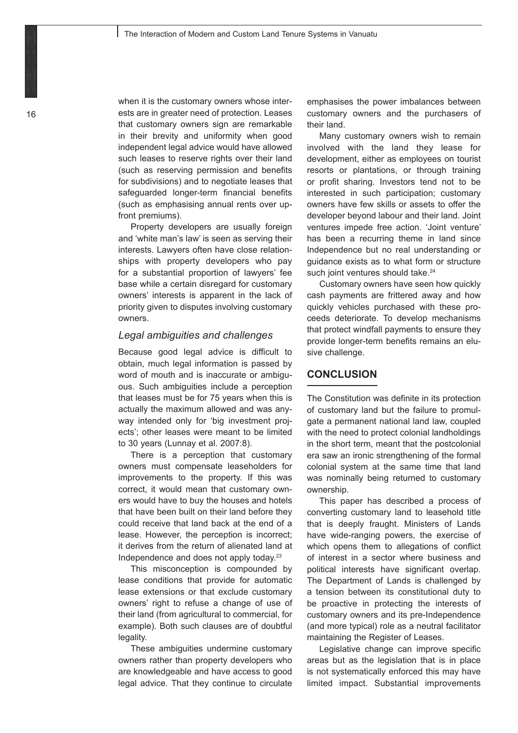when it is the customary owners whose interests are in greater need of protection. Leases that customary owners sign are remarkable in their brevity and uniformity when good independent legal advice would have allowed such leases to reserve rights over their land (such as reserving permission and benefits for subdivisions) and to negotiate leases that safeguarded longer-term financial benefits (such as emphasising annual rents over upfront premiums).

Property developers are usually foreign and 'white man's law' is seen as serving their interests. Lawyers often have close relationships with property developers who pay for a substantial proportion of lawyers' fee base while a certain disregard for customary owners' interests is apparent in the lack of priority given to disputes involving customary owners.

#### *Legal ambiguities and challenges*

Because good legal advice is difficult to obtain, much legal information is passed by word of mouth and is inaccurate or ambiguous. Such ambiguities include a perception that leases must be for 75 years when this is actually the maximum allowed and was anyway intended only for 'big investment projects'; other leases were meant to be limited to 30 years (Lunnay et al. 2007:8).

There is a perception that customary owners must compensate leaseholders for improvements to the property. If this was correct, it would mean that customary owners would have to buy the houses and hotels that have been built on their land before they could receive that land back at the end of a lease. However, the perception is incorrect; it derives from the return of alienated land at Independence and does not apply today.23

This misconception is compounded by lease conditions that provide for automatic lease extensions or that exclude customary owners' right to refuse a change of use of their land (from agricultural to commercial, for example). Both such clauses are of doubtful legality.

These ambiguities undermine customary owners rather than property developers who are knowledgeable and have access to good legal advice. That they continue to circulate

emphasises the power imbalances between customary owners and the purchasers of their land.

Many customary owners wish to remain involved with the land they lease for development, either as employees on tourist resorts or plantations, or through training or profit sharing. Investors tend not to be interested in such participation; customary owners have few skills or assets to offer the developer beyond labour and their land. Joint ventures impede free action. 'Joint venture' has been a recurring theme in land since Independence but no real understanding or guidance exists as to what form or structure such joint ventures should take.<sup>24</sup>

Customary owners have seen how quickly cash payments are frittered away and how quickly vehicles purchased with these proceeds deteriorate. To develop mechanisms that protect windfall payments to ensure they provide longer-term benefits remains an elusive challenge.

#### **CONCLUSION**

The Constitution was definite in its protection of customary land but the failure to promulgate a permanent national land law, coupled with the need to protect colonial landholdings in the short term, meant that the postcolonial era saw an ironic strengthening of the formal colonial system at the same time that land was nominally being returned to customary ownership.

This paper has described a process of converting customary land to leasehold title that is deeply fraught. Ministers of Lands have wide-ranging powers, the exercise of which opens them to allegations of conflict of interest in a sector where business and political interests have significant overlap. The Department of Lands is challenged by a tension between its constitutional duty to be proactive in protecting the interests of customary owners and its pre-Independence (and more typical) role as a neutral facilitator maintaining the Register of Leases.

Legislative change can improve specific areas but as the legislation that is in place is not systematically enforced this may have limited impact. Substantial improvements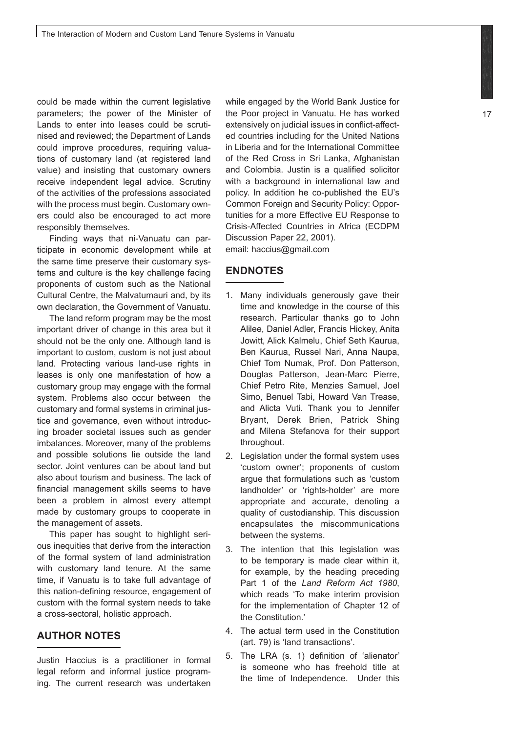could be made within the current legislative parameters; the power of the Minister of Lands to enter into leases could be scrutinised and reviewed; the Department of Lands could improve procedures, requiring valuations of customary land (at registered land value) and insisting that customary owners receive independent legal advice. Scrutiny of the activities of the professions associated with the process must begin. Customary owners could also be encouraged to act more responsibly themselves.

Finding ways that ni-Vanuatu can participate in economic development while at the same time preserve their customary systems and culture is the key challenge facing proponents of custom such as the National Cultural Centre, the Malvatumauri and, by its own declaration, the Government of Vanuatu.

The land reform program may be the most important driver of change in this area but it should not be the only one. Although land is important to custom, custom is not just about land. Protecting various land-use rights in leases is only one manifestation of how a customary group may engage with the formal system. Problems also occur between the customary and formal systems in criminal justice and governance, even without introducing broader societal issues such as gender imbalances. Moreover, many of the problems and possible solutions lie outside the land sector. Joint ventures can be about land but also about tourism and business. The lack of financial management skills seems to have been a problem in almost every attempt made by customary groups to cooperate in the management of assets.

This paper has sought to highlight serious inequities that derive from the interaction of the formal system of land administration with customary land tenure. At the same time, if Vanuatu is to take full advantage of this nation-defining resource, engagement of custom with the formal system needs to take a cross-sectoral, holistic approach.

#### **AUTHOR NOTES**

Justin Haccius is a practitioner in formal legal reform and informal justice programing. The current research was undertaken while engaged by the World Bank Justice for the Poor project in Vanuatu. He has worked extensively on judicial issues in conflict-affected countries including for the United Nations in Liberia and for the International Committee of the Red Cross in Sri Lanka, Afghanistan and Colombia. Justin is a qualified solicitor with a background in international law and policy. In addition he co-published the EU's Common Foreign and Security Policy: Opportunities for a more Effective EU Response to Crisis-Affected Countries in Africa (ECDPM Discussion Paper 22, 2001). email: haccius@gmail.com

#### **ENDNOTES**

- 1. Many individuals generously gave their time and knowledge in the course of this research. Particular thanks go to John Alilee, Daniel Adler, Francis Hickey, Anita Jowitt, Alick Kalmelu, Chief Seth Kaurua, Ben Kaurua, Russel Nari, Anna Naupa, Chief Tom Numak, Prof. Don Patterson, Douglas Patterson, Jean-Marc Pierre, Chief Petro Rite, Menzies Samuel, Joel Simo, Benuel Tabi, Howard Van Trease, and Alicta Vuti. Thank you to Jennifer Bryant, Derek Brien, Patrick Shing and Milena Stefanova for their support throughout.
- 2. Legislation under the formal system uses 'custom owner'; proponents of custom argue that formulations such as 'custom landholder' or 'rights-holder' are more appropriate and accurate, denoting a quality of custodianship. This discussion encapsulates the miscommunications between the systems.
- 3. The intention that this legislation was to be temporary is made clear within it, for example, by the heading preceding Part 1 of the *Land Reform Act 1980*, which reads 'To make interim provision for the implementation of Chapter 12 of the Constitution.'
- 4. The actual term used in the Constitution (art. 79) is 'land transactions'.
- 5. The LRA (s. 1) definition of 'alienator' is someone who has freehold title at the time of Independence. Under this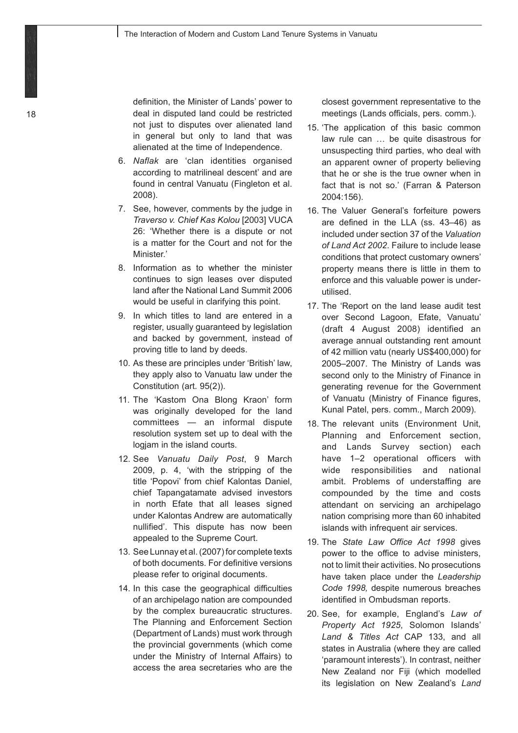definition, the Minister of Lands' power to deal in disputed land could be restricted not just to disputes over alienated land in general but only to land that was alienated at the time of Independence.

- 6. *Naflak* are 'clan identities organised according to matrilineal descent' and are found in central Vanuatu (Fingleton et al. 2008).
- 7. See, however, comments by the judge in *Traverso v. Chief Kas Kolou* [2003] VUCA 26: 'Whether there is a dispute or not is a matter for the Court and not for the Minister<sup>'</sup>
- 8. Information as to whether the minister continues to sign leases over disputed land after the National Land Summit 2006 would be useful in clarifying this point.
- 9. In which titles to land are entered in a register, usually guaranteed by legislation and backed by government, instead of proving title to land by deeds.
- 10. As these are principles under 'British' law, they apply also to Vanuatu law under the Constitution (art. 95(2)).
- 11. The 'Kastom Ona Blong Kraon' form was originally developed for the land committees — an informal dispute resolution system set up to deal with the logjam in the island courts.
- 12. See *Vanuatu Daily Post*, 9 March 2009, p. 4, 'with the stripping of the title 'Popovi' from chief Kalontas Daniel, chief Tapangatamate advised investors in north Efate that all leases signed under Kalontas Andrew are automatically nullified'. This dispute has now been appealed to the Supreme Court.
- 13. See Lunnay et al. (2007) for complete texts of both documents. For definitive versions please refer to original documents.
- 14. In this case the geographical difficulties of an archipelago nation are compounded by the complex bureaucratic structures. The Planning and Enforcement Section (Department of Lands) must work through the provincial governments (which come under the Ministry of Internal Affairs) to access the area secretaries who are the

closest government representative to the meetings (Lands officials, pers. comm.).

- 15. 'The application of this basic common law rule can … be quite disastrous for unsuspecting third parties, who deal with an apparent owner of property believing that he or she is the true owner when in fact that is not so.' (Farran & Paterson 2004:156).
- 16. The Valuer General's forfeiture powers are defined in the LLA (ss. 43–46) as included under section 37 of the *Valuation of Land Act 2002*. Failure to include lease conditions that protect customary owners' property means there is little in them to enforce and this valuable power is underutilised.
- 17. The 'Report on the land lease audit test over Second Lagoon, Efate, Vanuatu' (draft 4 August 2008) identified an average annual outstanding rent amount of 42 million vatu (nearly US\$400,000) for 2005–2007. The Ministry of Lands was second only to the Ministry of Finance in generating revenue for the Government of Vanuatu (Ministry of Finance figures, Kunal Patel, pers. comm., March 2009).
- 18. The relevant units (Environment Unit, Planning and Enforcement section, and Lands Survey section) each have 1–2 operational officers with wide responsibilities and national ambit. Problems of understaffing are compounded by the time and costs attendant on servicing an archipelago nation comprising more than 60 inhabited islands with infrequent air services.
- 19. The *State Law Office Act 1998* gives power to the office to advise ministers, not to limit their activities. No prosecutions have taken place under the *Leadership Code 1998,* despite numerous breaches identified in Ombudsman reports.
- 20. See, for example, England's *Law of Property Act 1925*, Solomon Islands' *Land & Titles Act* CAP 133, and all states in Australia (where they are called 'paramount interests'). In contrast, neither New Zealand nor Fiji (which modelled its legislation on New Zealand's *Land*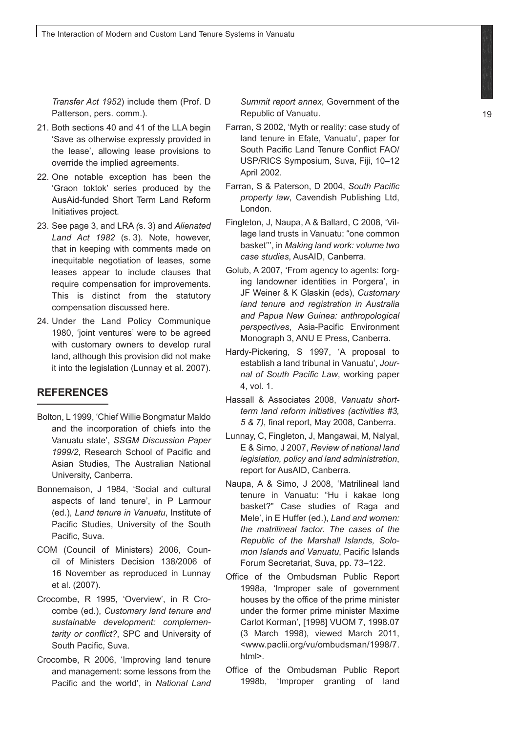*Transfer Act 1952*) include them (Prof. D Patterson, pers. comm.).

- 21. Both sections 40 and 41 of the LLA begin 'Save as otherwise expressly provided in the lease', allowing lease provisions to override the implied agreements.
- 22. One notable exception has been the 'Graon toktok' series produced by the AusAid-funded Short Term Land Reform Initiatives project.
- 23. See page 3, and LRA *(*s. 3) and *Alienated Land Act 1982* (s. 3). Note, however, that in keeping with comments made on inequitable negotiation of leases, some leases appear to include clauses that require compensation for improvements. This is distinct from the statutory compensation discussed here.
- 24. Under the Land Policy Communique 1980, 'joint ventures' were to be agreed with customary owners to develop rural land, although this provision did not make it into the legislation (Lunnay et al. 2007).

#### **REFERENCES**

- Bolton, L 1999, 'Chief Willie Bongmatur Maldo and the incorporation of chiefs into the Vanuatu state', *SSGM Discussion Paper 1999/2*, Research School of Pacific and Asian Studies, The Australian National University, Canberra.
- Bonnemaison, J 1984, 'Social and cultural aspects of land tenure', in P Larmour (ed.), *Land tenure in Vanuatu*, Institute of Pacific Studies, University of the South Pacific, Suva.
- COM (Council of Ministers) 2006, Council of Ministers Decision 138/2006 of 16 November as reproduced in Lunnay et al. (2007).
- Crocombe, R 1995, 'Overview', in R Crocombe (ed.), *Customary land tenure and sustainable development: complementarity or conflict?*, SPC and University of South Pacific, Suva.
- Crocombe, R 2006, 'Improving land tenure and management: some lessons from the Pacific and the world', in *National Land*

*Summit report annex*, Government of the Republic of Vanuatu.

- Farran, S 2002, 'Myth or reality: case study of land tenure in Efate, Vanuatu', paper for South Pacific Land Tenure Conflict FAO/ USP/RICS Symposium, Suva, Fiji, 10–12 April 2002.
- Farran, S & Paterson, D 2004, *South Pacific property law*, Cavendish Publishing Ltd, London.
- Fingleton, J, Naupa, A & Ballard, C 2008, 'Village land trusts in Vanuatu: "one common basket''', in *Making land work: volume two case studies*, AusAID, Canberra.
- Golub, A 2007, 'From agency to agents: forging landowner identities in Porgera', in JF Weiner & K Glaskin (eds), *Customary land tenure and registration in Australia and Papua New Guinea: anthropological perspectives*, Asia-Pacific Environment Monograph 3, ANU E Press, Canberra.
- Hardy-Pickering, S 1997, 'A proposal to establish a land tribunal in Vanuatu', *Journal of South Pacific Law*, working paper 4, vol. 1.
- Hassall & Associates 2008, *Vanuatu shortterm land reform initiatives (activities #3, 5 & 7)*, final report, May 2008, Canberra.
- Lunnay, C, Fingleton, J, Mangawai, M, Nalyal, E & Simo, J 2007, *Review of national land legislation, policy and land administration*, report for AusAID, Canberra.
- Naupa, A & Simo, J 2008, 'Matrilineal land tenure in Vanuatu: "Hu i kakae long basket?" Case studies of Raga and Mele', in E Huffer (ed.), *Land and women: the matrilineal factor. The cases of the Republic of the Marshall Islands, Solomon Islands and Vanuatu*, Pacific Islands Forum Secretariat, Suva, pp. 73–122.
- Office of the Ombudsman Public Report 1998a, 'Improper sale of government houses by the office of the prime minister under the former prime minister Maxime Carlot Korman', [1998] VUOM 7, 1998.07 (3 March 1998), viewed March 2011, <www.paclii.org/vu/ombudsman/1998/7. html>.
- Office of the Ombudsman Public Report 1998b, 'Improper granting of land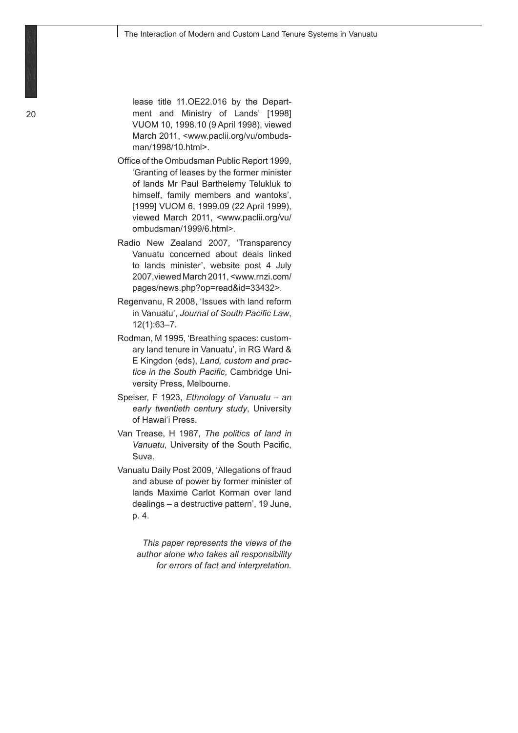lease title 11.OE22.016 by the Department and Ministry of Lands' [1998] VUOM 10, 1998.10 (9 April 1998), viewed March 2011, <www.paclii.org/vu/ombudsman/1998/10.html>.

- Office of the Ombudsman Public Report 1999, 'Granting of leases by the former minister of lands Mr Paul Barthelemy Telukluk to himself, family members and wantoks', [1999] VUOM 6, 1999.09 (22 April 1999), viewed March 2011, <www.paclii.org/vu/ ombudsman/1999/6.html>.
- Radio New Zealand 2007, 'Transparency Vanuatu concerned about deals linked to lands minister', website post 4 July 2007,viewed March 2011, <www.rnzi.com/ pages/news.php?op=read&id=33432>.
- Regenvanu, R 2008, 'Issues with land reform in Vanuatu', *Journal of South Pacific Law*, 12(1):63–7.
- Rodman, M 1995, 'Breathing spaces: customary land tenure in Vanuatu', in RG Ward & E Kingdon (eds), *Land, custom and practice in the South Pacific*, Cambridge University Press, Melbourne.
- Speiser, F 1923, *Ethnology of Vanuatu an early twentieth century study*, University of Hawai'i Press.
- Van Trease, H 1987, *The politics of land in Vanuatu*, University of the South Pacific, Suva.
- Vanuatu Daily Post 2009, 'Allegations of fraud and abuse of power by former minister of lands Maxime Carlot Korman over land dealings – a destructive pattern', 19 June, p. 4.

*This paper represents the views of the author alone who takes all responsibility for errors of fact and interpretation.*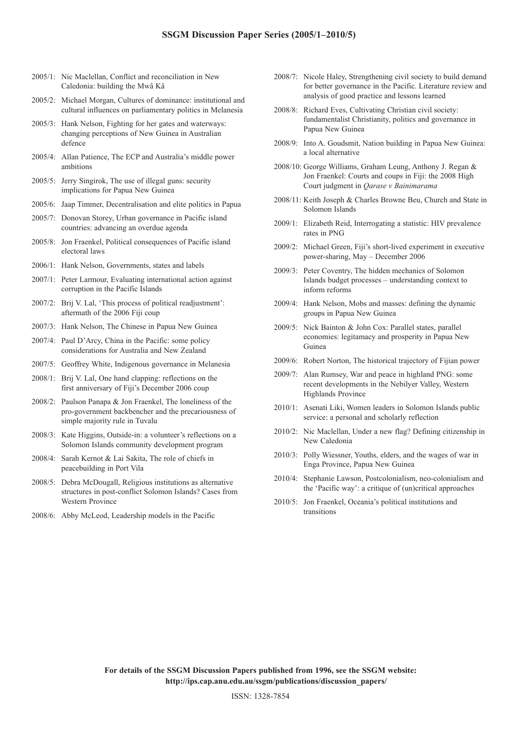- 2005/1: Nic Maclellan, Conflict and reconciliation in New Caledonia: building the Mwâ Kâ
- 2005/2: Michael Morgan, Cultures of dominance: institutional and cultural influences on parliamentary politics in Melanesia
- 2005/3: Hank Nelson, Fighting for her gates and waterways: changing perceptions of New Guinea in Australian defence
- 2005/4: Allan Patience, The ECP and Australia's middle power ambitions
- 2005/5: Jerry Singirok, The use of illegal guns: security implications for Papua New Guinea
- 2005/6: Jaap Timmer, Decentralisation and elite politics in Papua
- 2005/7: Donovan Storey, Urban governance in Pacific island countries: advancing an overdue agenda
- 2005/8: Jon Fraenkel, Political consequences of Pacific island electoral laws
- 2006/1: Hank Nelson, Governments, states and labels
- 2007/1: Peter Larmour, Evaluating international action against corruption in the Pacific Islands
- 2007/2: Brij V. Lal, 'This process of political readjustment': aftermath of the 2006 Fiji coup
- 2007/3: Hank Nelson, The Chinese in Papua New Guinea
- 2007/4: Paul D'Arcy, China in the Pacific: some policy considerations for Australia and New Zealand
- 2007/5: Geoffrey White, Indigenous governance in Melanesia
- 2008/1: Brij V. Lal, One hand clapping: reflections on the first anniversary of Fiji's December 2006 coup
- 2008/2: Paulson Panapa & Jon Fraenkel, The loneliness of the pro-government backbencher and the precariousness of simple majority rule in Tuvalu
- 2008/3: Kate Higgins, Outside-in: a volunteer's reflections on a Solomon Islands community development program
- 2008/4: Sarah Kernot & Lai Sakita, The role of chiefs in peacebuilding in Port Vila
- 2008/5: Debra McDougall, Religious institutions as alternative structures in post-conflict Solomon Islands? Cases from Western Province
- 2008/6: Abby McLeod, Leadership models in the Pacific
- 2008/7: Nicole Haley, Strengthening civil society to build demand for better governance in the Pacific. Literature review and analysis of good practice and lessons learned
- 2008/8: Richard Eves, Cultivating Christian civil society: fundamentalist Christianity, politics and governance in Papua New Guinea
- 2008/9: Into A. Goudsmit, Nation building in Papua New Guinea: a local alternative
- 2008/10: George Williams, Graham Leung, Anthony J. Regan & Jon Fraenkel: Courts and coups in Fiji: the 2008 High Court judgment in *Qarase v Bainimarama*
- 2008/11: Keith Joseph & Charles Browne Beu, Church and State in Solomon Islands
- 2009/1: Elizabeth Reid, Interrogating a statistic: HIV prevalence rates in PNG
- 2009/2: Michael Green, Fiji's short-lived experiment in executive power-sharing, May – December 2006
- 2009/3: Peter Coventry, The hidden mechanics of Solomon Islands budget processes – understanding context to inform reforms
- 2009/4: Hank Nelson, Mobs and masses: defining the dynamic groups in Papua New Guinea
- 2009/5: Nick Bainton & John Cox: Parallel states, parallel economies: legitamacy and prosperity in Papua New Guinea
- 2009/6: Robert Norton, The historical trajectory of Fijian power
- 2009/7: Alan Rumsey, War and peace in highland PNG: some recent developments in the Nebilyer Valley, Western Highlands Province
- 2010/1: Asenati Liki, Women leaders in Solomon Islands public service: a personal and scholarly reflection
- 2010/2: Nic Maclellan, Under a new flag? Defining citizenship in New Caledonia
- 2010/3: Polly Wiessner, Youths, elders, and the wages of war in Enga Province, Papua New Guinea
- 2010/4: Stephanie Lawson, Postcolonialism, neo-colonialism and the 'Pacific way': a critique of (un)critical approaches
- 2010/5: Jon Fraenkel, Oceania's political institutions and transitions